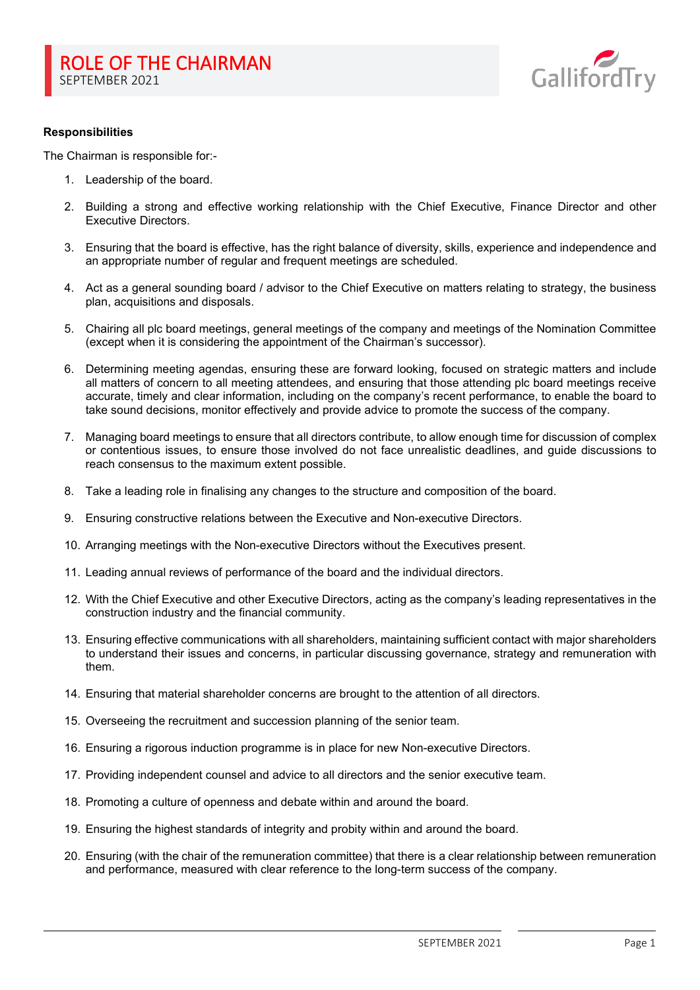

## **Responsibilities**

The Chairman is responsible for:-

- 1. Leadership of the board.
- 2. Building a strong and effective working relationship with the Chief Executive, Finance Director and other Executive Directors.
- 3. Ensuring that the board is effective, has the right balance of diversity, skills, experience and independence and an appropriate number of regular and frequent meetings are scheduled.
- 4. Act as a general sounding board / advisor to the Chief Executive on matters relating to strategy, the business plan, acquisitions and disposals.
- 5. Chairing all plc board meetings, general meetings of the company and meetings of the Nomination Committee (except when it is considering the appointment of the Chairman's successor).
- 6. Determining meeting agendas, ensuring these are forward looking, focused on strategic matters and include all matters of concern to all meeting attendees, and ensuring that those attending plc board meetings receive accurate, timely and clear information, including on the company's recent performance, to enable the board to take sound decisions, monitor effectively and provide advice to promote the success of the company.
- 7. Managing board meetings to ensure that all directors contribute, to allow enough time for discussion of complex or contentious issues, to ensure those involved do not face unrealistic deadlines, and guide discussions to reach consensus to the maximum extent possible.
- 8. Take a leading role in finalising any changes to the structure and composition of the board.
- 9. Ensuring constructive relations between the Executive and Non-executive Directors.
- 10. Arranging meetings with the Non-executive Directors without the Executives present.
- 11. Leading annual reviews of performance of the board and the individual directors.
- 12. With the Chief Executive and other Executive Directors, acting as the company's leading representatives in the construction industry and the financial community.
- 13. Ensuring effective communications with all shareholders, maintaining sufficient contact with major shareholders to understand their issues and concerns, in particular discussing governance, strategy and remuneration with them.
- 14. Ensuring that material shareholder concerns are brought to the attention of all directors.
- 15. Overseeing the recruitment and succession planning of the senior team.
- 16. Ensuring a rigorous induction programme is in place for new Non-executive Directors.
- 17. Providing independent counsel and advice to all directors and the senior executive team.
- 18. Promoting a culture of openness and debate within and around the board.
- 19. Ensuring the highest standards of integrity and probity within and around the board.
- 20. Ensuring (with the chair of the remuneration committee) that there is a clear relationship between remuneration and performance, measured with clear reference to the long-term success of the company.